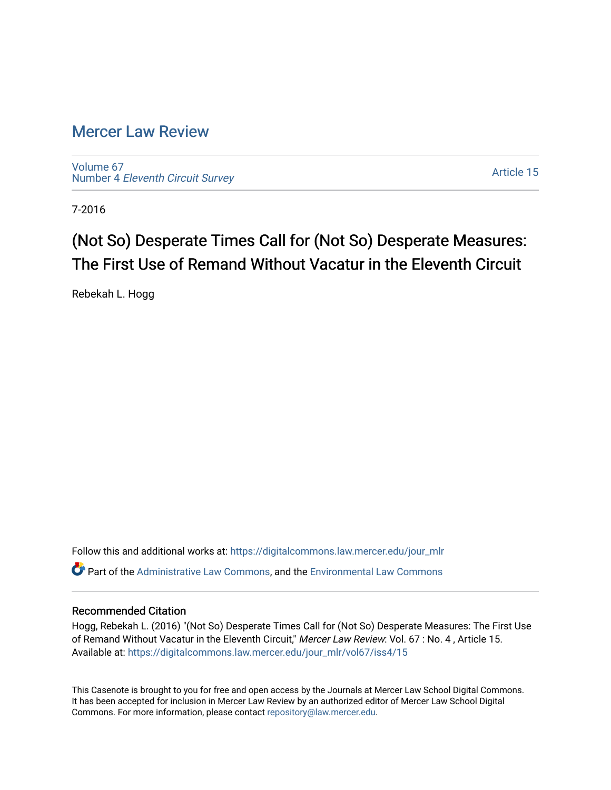# [Mercer Law Review](https://digitalcommons.law.mercer.edu/jour_mlr)

[Volume 67](https://digitalcommons.law.mercer.edu/jour_mlr/vol67) Number 4 [Eleventh Circuit Survey](https://digitalcommons.law.mercer.edu/jour_mlr/vol67/iss4) 

[Article 15](https://digitalcommons.law.mercer.edu/jour_mlr/vol67/iss4/15) 

7-2016

# (Not So) Desperate Times Call for (Not So) Desperate Measures: The First Use of Remand Without Vacatur in the Eleventh Circuit

Rebekah L. Hogg

Follow this and additional works at: [https://digitalcommons.law.mercer.edu/jour\\_mlr](https://digitalcommons.law.mercer.edu/jour_mlr?utm_source=digitalcommons.law.mercer.edu%2Fjour_mlr%2Fvol67%2Fiss4%2F15&utm_medium=PDF&utm_campaign=PDFCoverPages) Part of the [Administrative Law Commons,](http://network.bepress.com/hgg/discipline/579?utm_source=digitalcommons.law.mercer.edu%2Fjour_mlr%2Fvol67%2Fiss4%2F15&utm_medium=PDF&utm_campaign=PDFCoverPages) and the [Environmental Law Commons](http://network.bepress.com/hgg/discipline/599?utm_source=digitalcommons.law.mercer.edu%2Fjour_mlr%2Fvol67%2Fiss4%2F15&utm_medium=PDF&utm_campaign=PDFCoverPages) 

# Recommended Citation

Hogg, Rebekah L. (2016) "(Not So) Desperate Times Call for (Not So) Desperate Measures: The First Use of Remand Without Vacatur in the Eleventh Circuit," Mercer Law Review: Vol. 67 : No. 4, Article 15. Available at: [https://digitalcommons.law.mercer.edu/jour\\_mlr/vol67/iss4/15](https://digitalcommons.law.mercer.edu/jour_mlr/vol67/iss4/15?utm_source=digitalcommons.law.mercer.edu%2Fjour_mlr%2Fvol67%2Fiss4%2F15&utm_medium=PDF&utm_campaign=PDFCoverPages) 

This Casenote is brought to you for free and open access by the Journals at Mercer Law School Digital Commons. It has been accepted for inclusion in Mercer Law Review by an authorized editor of Mercer Law School Digital Commons. For more information, please contact [repository@law.mercer.edu.](mailto:repository@law.mercer.edu)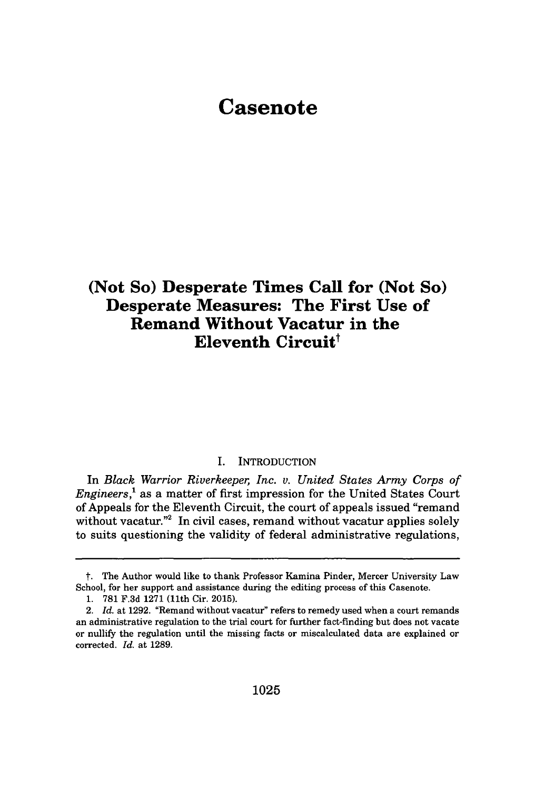# **Casenote**

# **(Not So) Desperate Times Call for (Not So) Desperate Measures: The First Use of Remand Without Vacatur in the Eleventh Circuit'**

### I. INTRODUCTION

In *Black Warrior Riverkeeper, Inc. v. United States Army Corps of Engineers,'* as a matter of first impression for the United States Court of Appeals for the Eleventh Circuit, the court of appeals issued "remand without vacatur."<sup>2</sup> In civil cases, remand without vacatur applies solely to suits questioning the validity of federal administrative regulations,

*t.* The Author would like to thank Professor Kamina Pinder, Mercer University Law School, for her support and assistance during the editing process of this Casenote.

**<sup>1. 781</sup> F.3d 1271** (11th Cir. **2015).**

<sup>2.</sup> *Id.* at **1292.** "Remand without vacatur" refers to remedy used when a court remands an administrative regulation to the trial court for further fact-finding but does not vacate or nullify the regulation until the missing facts or miscalculated data are explained or corrected. *Id.* at **1289.**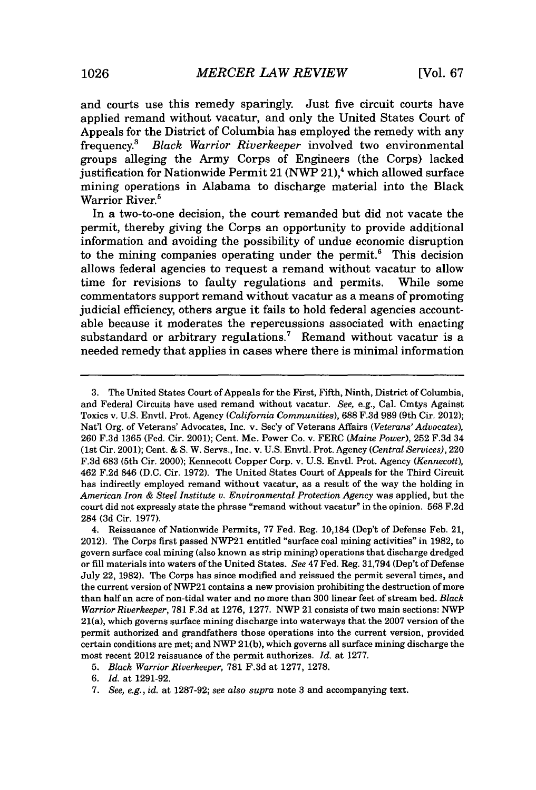and courts use this remedy sparingly. Just five circuit courts have applied remand without vacatur, and only the United States Court of Appeals for the District of Columbia has employed the remedy with any frequency.<sup>3</sup>*Black Warrior Riverkeeper* involved two environmental groups alleging the Army Corps of Engineers (the Corps) lacked justification for Nationwide Permit 21 (NWP **21),4** which allowed surface mining operations in Alabama to discharge material into the Black Warrior River.<sup>5</sup>

In a two-to-one decision, the court remanded but did not vacate the permit, thereby giving the Corps an opportunity to provide additional information and avoiding the possibility of undue economic disruption to the mining companies operating under the permit. $<sup>6</sup>$  This decision</sup> allows federal agencies to request a remand without vacatur to allow time for revisions to faulty regulations and permits. While some commentators support remand without vacatur as a means of promoting judicial efficiency, others argue it fails to hold federal agencies accountable because it moderates the repercussions associated with enacting substandard or arbitrary regulations.<sup>7</sup> Remand without vacatur is a needed remedy that applies in cases where there is minimal information

**<sup>3.</sup>** The United States Court of Appeals for the First, Fifth, Ninth, District of Columbia, and Federal Circuits have used remand without vacatur. *See,* e.g., Cal. Cmtys Against Toxics v. **U.S.** Envtl. Prot. Agency *(California Communities),* **688 F.3d 989** (9th Cir. 2012); Nat'l Org. of Veterans' Advocates, Inc. v. Sec'y of Veterans Affairs *(Veterans' Advocates),* **260 F.3d 1365** (Fed. Cir. 2001); Cent. Me. Power Co. v. FERC *(Maine Power),* **252 F.3d** 34 (1st Cir. 2001); Cent. **& S.** W. Servs., Inc. v. **U.S.** Envtl. Prot. Agency *(Central Services), 220* **F.3d 683** (5th Cir. 2000); Kennecott Copper Corp. v. **U.S.** Envtl. Prot. Agency *(Kennecott),* 462 **F.2d** 846 **(D.C.** Cir. **1972).** The United States Court of Appeals for the Third Circuit has indirectly employed remand without vacatur, as a result of the way the holding in *American Iron & Steel Institute v. Environmental Protection Agency* was applied, but the court did not expressly state the phrase "remand without vacatur" in the opinion. **568 F.2d** 284 **(3d** Cir. **1977).**

<sup>4.</sup> Reissuance of Nationwide Permits, **77** Fed. Reg. 10,184 (Dep't of Defense Feb. 21, 2012). The Corps first passed NWP21 entitled "surface coal mining activities" in **1982,** to govern surface coal mining (also known as strip mining) operations that discharge dredged or **fill** materials into waters of the United States. *See* 47 Fed. Reg. **31,794** (Dep't of Defense July 22, **1982).** The Corps has since modified and reissued the permit several times, and the current version of NWP21 contains a new provision prohibiting the destruction of more than half an acre of non-tidal water and no more than **300** linear feet of stream bed. *Black Warrior Riverkeeper,* **781 F.3d** at **1276, 1277.** NWP 21 consists of two main sections: NWP 21(a), which governs surface mining discharge into waterways that the **2007** version of the permit authorized and grandfathers those operations into the current version, provided certain conditions are met; and NWP **21(b),** which governs all surface mining discharge the most recent 2012 reissuance of the permit authorizes. *Id.* at **1277.**

**<sup>5.</sup>** *Black Warrior Riverkeeper,* **781 F.3d** at **1277, 1278.**

**<sup>6.</sup>** *Id.* at **1291-92.**

**<sup>7.</sup>** *See, e.g., id.* at **1287-92;** *see also supra* note **3** and accompanying text.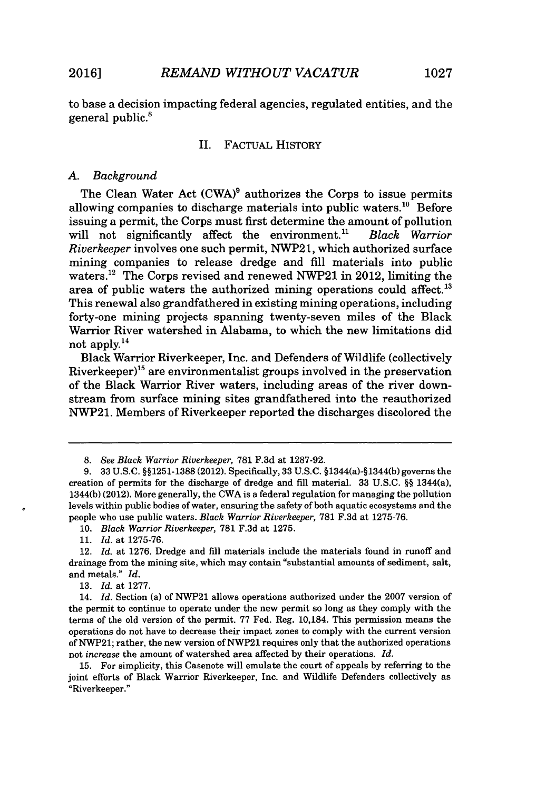to base a decision impacting federal agencies, regulated entities, and the general public.<sup>8</sup>

#### II. FACTUAL HISTORY

#### *A. Background*

The Clean Water Act (CWA)<sup>9</sup> authorizes the Corps to issue permits allowing companies to discharge materials into public waters.<sup>10</sup> Before issuing a permit, the Corps must first determine the amount of pollution<br>will not significantly affect the environment.<sup>11</sup> Black Warrior will not significantly affect the environment.<sup>11</sup> *Riverkeeper* involves one such permit, NWP21, which authorized surface mining companies to release dredge and **fill** materials into public waters.<sup>12</sup> The Corps revised and renewed NWP21 in 2012, limiting the area of public waters the authorized mining operations could affect.<sup>13</sup> This renewal also grandfathered in existing mining operations, including forty-one mining projects spanning twenty-seven miles of the Black Warrior River watershed in Alabama, to which the new limitations did not apply. $^{14}$ 

Black Warrior Riverkeeper, Inc. and Defenders of Wildlife (collectively Riverkeeper)<sup>15</sup> are environmentalist groups involved in the preservation of the Black Warrior River waters, including areas of the river downstream from surface mining sites grandfathered into the reauthorized NWP21. Members of Riverkeeper reported the discharges discolored the

*11. Id.* at **1275-76.**

*13. Id.* at **1277.**

*<sup>8.</sup> See Black Warrior Riverkeeper,* **781 F.3d at 1287-92.**

*<sup>9.</sup>* **33 U.S.C. §§1251-1388** (2012). Specifically, **33 U.S.C.** §1344(a)-§1344(b) governs the creation of permits for the discharge of dredge and **fill** material. **33 U.S.C.** *§§* 1344(a), 1344(b) (2012). More generally, the CWA is a federal regulation for managing the pollution levels within public bodies of water, ensuring the safety of both aquatic ecosystems and the people who use public waters. *Black Warrior Riverkeeper,* **781 F.3d** at **1275-76.**

*<sup>10.</sup> Black Warrior Riverkeeper,* **781 F.3d** at **1275.**

<sup>12.</sup> *Id.* at **1276.** Dredge and **fill** materials include the materials found in runoff and drainage from the mining site, which may contain "substantial amounts of sediment, salt, and metals." *Id.*

<sup>14.</sup> *Id.* Section (a) of NWP21 allows operations authorized under the **2007** version of the permit to continue to operate under the new permit so long as they comply with the terms of the old version of the permit. **77** Fed. Reg. 10,184. This permission means the operations do not have to decrease their impact zones to comply with the current version **of** NWP21; rather, the new version of NWP21 requires only that the authorized operations not *increase* the amount of watershed area affected **by** their operations. *Id.*

**<sup>15.</sup>** For simplicity, this Casenote will emulate the court of appeals **by** referring to the joint efforts of Black Warrior Riverkeeper, **Inc.** and Wildlife Defenders collectively as "Riverkeeper."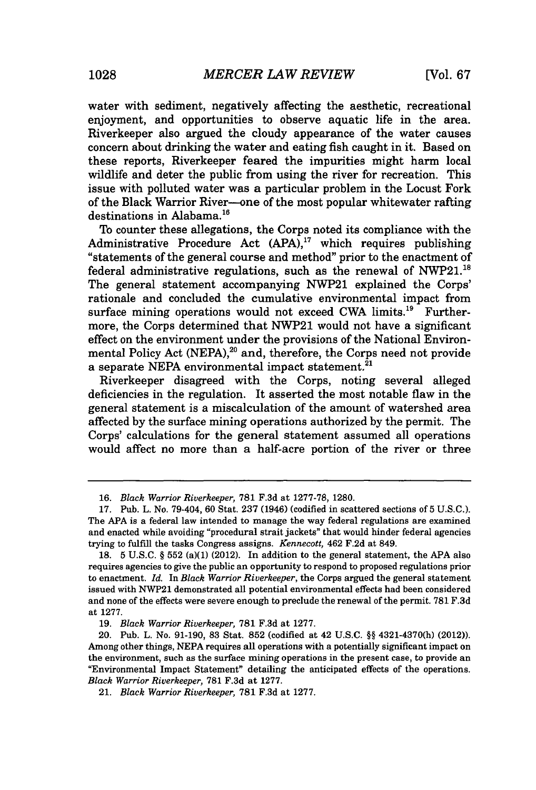water with sediment, negatively affecting the aesthetic, recreational enjoyment, and opportunities to observe aquatic life in the area. Riverkeeper also argued the cloudy appearance of the water causes concern about drinking the water and eating fish caught in it. Based on these reports, Riverkeeper feared the impurities might harm local wildlife and deter the public from using the river for recreation. This issue with polluted water was a particular problem in the Locust Fork of the Black Warrior River-one of the most popular whitewater rafting destinations in Alabama.<sup>16</sup>

To counter these allegations, the Corps noted its compliance with the Administrative Procedure Act **(APA),"** which requires publishing "statements of the general course and method" prior to the enactment of federal administrative regulations, such as the renewal of NWP21.<sup>18</sup> The general statement accompanying NWP21 explained the Corps' rationale and concluded the cumulative environmental impact from surface mining operations would not exceed CWA limits.<sup>19</sup> Furthermore, the Corps determined that NWP21 would not have a significant effect on the environment under the provisions of the National Environmental Policy Act **(NEPA),<sup>20</sup>**and, therefore, the Corps need not provide a separate NEPA environmental impact statement.<sup>21</sup>

Riverkeeper disagreed with the Corps, noting several alleged deficiencies in the regulation. It asserted the most notable flaw in the general statement is a miscalculation of the amount of watershed area affected **by** the surface mining operations authorized **by** the permit. The Corps' calculations for the general statement assumed all operations would affect no more than a half-acre portion of the river or three

*<sup>16.</sup> Black Warrior Riverkeeper,* **781 F.3d** at **1277-78, 1280.**

**<sup>17.</sup>** Pub. L. No. 79-404, **60** Stat. **237** (1946) (codified in scattered sections of **5 U.S.C.).** The **APA** is a federal law intended to manage the way federal regulations are examined and enacted while avoiding "procedural strait jackets" that would hinder federal agencies trying to fulfill the tasks Congress assigns. *Kennecott,* 462 **F.2d** at 849.

**<sup>18. 5</sup> U.S.C. § 552** (a)(1) (2012). In addition to the general statement, the **APA** also requires agencies to give the public an opportunity to respond to proposed regulations prior to enactment. *Id. In Black Warrior Riverkeeper,* the Corps argued the general statement issued with NWP21 demonstrated all potential environmental effects had been considered and none of the effects were severe enough to preclude the renewal of the permit. **781 F.3d** at **1277.**

**<sup>19.</sup>** *Black Warrior Riverkeeper,* **781 F.3d** at **1277.**

<sup>20.</sup> Pub. *L.* No. **91-190, 83** Stat. **852** (codified at 42 **U.S.C. §§** 4321-4370(h) (2012)). Among other things, **NEPA** requires all operations with a potentially significant impact on the environment, such as the surface mining operations in the present case, to provide an "Environmental Impact Statement" detailing the anticipated effects of the operations. *Black Warrior Riverkeeper,* **781 F.3d** at **1277.**

<sup>21.</sup> *Black Warrior Riverkeeper,* **781 F.3d** at **1277.**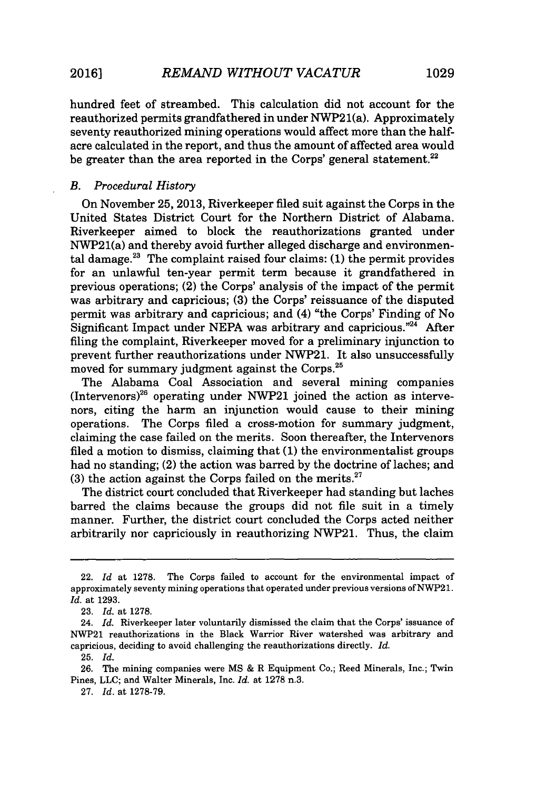*REMAND WITHOUT VACATUR* **20161 1029**

hundred feet of streambed. This calculation did not account for the reauthorized permits grandfathered in under NWP21(a). Approximately seventy reauthorized mining operations would affect more than the halfacre calculated in the report, and thus the amount of affected area would be greater than the area reported in the Corps' general statement. $22$ 

### *B. Procedural History*

On November **25, 2013,** Riverkeeper filed suit against the Corps in the United States District Court for the Northern District of Alabama. Riverkeeper aimed to block the reauthorizations granted under NWP21(a) and thereby avoid further alleged discharge and environmental damage.<sup>2</sup> " The complaint raised four claims: **(1)** the permit provides for an unlawful ten-year permit term because it grandfathered in previous operations; (2) the Corps' analysis of the impact of the permit was arbitrary and capricious; **(3)** the Corps' reissuance of the disputed permit was arbitrary and capricious; and (4) "the Corps' Finding of No Significant Impact under NEPA was arbitrary and capricious."<sup>24</sup> After filing the complaint, Riverkeeper moved for a preliminary injunction to prevent further reauthorizations under **NWP21.** It also unsuccessfully moved for summary judgment against the Corps.<sup>25</sup>

The Alabama Coal Association and several mining companies  $(Intervenors)^{26}$  operating under NWP21 joined the action as intervenors, citing the harm an injunction would cause to their mining operations. The Corps filed a cross-motion for summary judgment, claiming the case failed on the merits. Soon thereafter, the Intervenors filed a motion to dismiss, claiming that **(1)** the environmentalist groups had no standing; (2) the action was barred **by** the doctrine of laches; and (3) the action against the Corps failed on the merits.<sup>27</sup>

The district court concluded that Riverkeeper had standing but laches barred the claims because the groups did not file suit in a timely manner. Further, the district court concluded the Corps acted neither arbitrarily nor capriciously in reauthorizing NWP21. Thus, the claim

<sup>22.</sup> *Id* at **1278.** The Corps failed to account for the environmental impact of approximately seventy mining operations that operated under previous versions of NWP21. *Id.* at **1293.**

**<sup>23.</sup>** *Id.* at **1278.**

<sup>24.</sup> *Id.* Riverkeeper later voluntarily dismissed the claim that the Corps' issuance of NWP21 reauthorizations in the Black Warrior River watershed was arbitrary and capricious, deciding to avoid challenging the reauthorizations directly. *Id.*

<sup>25.</sup> *Id.*

**<sup>26.</sup>** The mining companies were **MS &** R Equipment Co.; Reed Minerals, Inc.; Twin Pines, **LLC;** and Walter Minerals, Inc. *Id.* at **1278** n.3.

**<sup>27.</sup>** *Id.* at **1278-79.**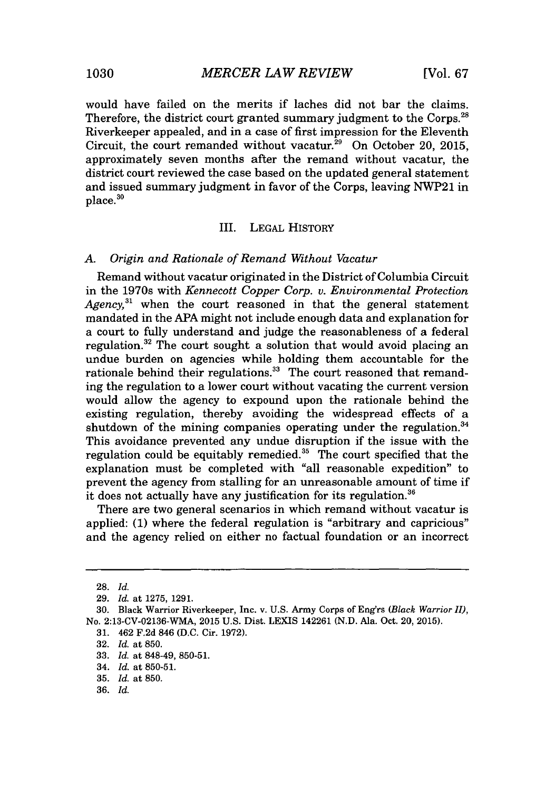would have failed on the merits if laches did not bar the claims. Therefore, the district court granted summary judgment to the Corps.<sup>28</sup> Riverkeeper appealed, and in a case of first impression for the Eleventh Circuit, the court remanded without vacatur.<sup>29</sup> On October 20, 2015, approximately seven months after the remand without vacatur, the district court reviewed the case based on the updated general statement and issued summary judgment in favor of the Corps, leaving NWP21 in  $place<sup>30</sup>$ 

#### III. **LEGAL** HISTORY

#### *A. Origin and Rationale of Remand Without Vacatur*

Remand without vacatur originated in the District of Columbia Circuit in the 1970s with *Kennecott Copper Corp. v. Environmental Protection Agency,"'* when the court reasoned in that the general statement mandated in the **APA** might not include enough data and explanation for a court to fully understand and judge the reasonableness of a federal regulation.<sup>32</sup> The court sought a solution that would avoid placing an undue burden on agencies while holding them accountable for the rationale behind their regulations.<sup>33</sup> The court reasoned that remanding the regulation to a lower court without vacating the current version would allow the agency to expound upon the rationale behind the existing regulation, thereby avoiding the widespread effects of a shutdown of the mining companies operating under the regulation. $34$ This avoidance prevented any undue disruption if the issue with the regulation could be equitably remedied.<sup>35</sup> The court specified that the explanation must be completed with "all reasonable expedition" to prevent the agency from stalling for an unreasonable amount of time if it does not actually have any justification for its regulation.<sup>36</sup>

There are two general scenarios in which remand without vacatur is applied: **(1)** where the federal regulation is "arbitrary and capricious" and the agency relied on either no factual foundation or an incorrect

**<sup>28.</sup>** *Id.*

**<sup>29.</sup>** *Id. at* **1275, 1291.**

**<sup>30.</sup>** Black Warrior Riverkeeper, Inc. v. **U.S.** Army Corps of Eng'rs *(Black Warrior II),* No. 2:13-CV-02136-WMA, **2015 U.S.** Dist. **LEXIS** 142261 **(N.D.** Ala. Oct. 20, **2015).**

**<sup>31.</sup>** 462 **F.2d** 846 **(D.C.** Cir. **1972).**

**<sup>32.</sup>** *Id. at* **850.**

**<sup>33.</sup>** *Id. at* 848-49, **850-51.**

<sup>34.</sup> *Id. at* **850-51.**

**<sup>35.</sup>** *Id. at* **850.**

**<sup>36.</sup>** *Id.*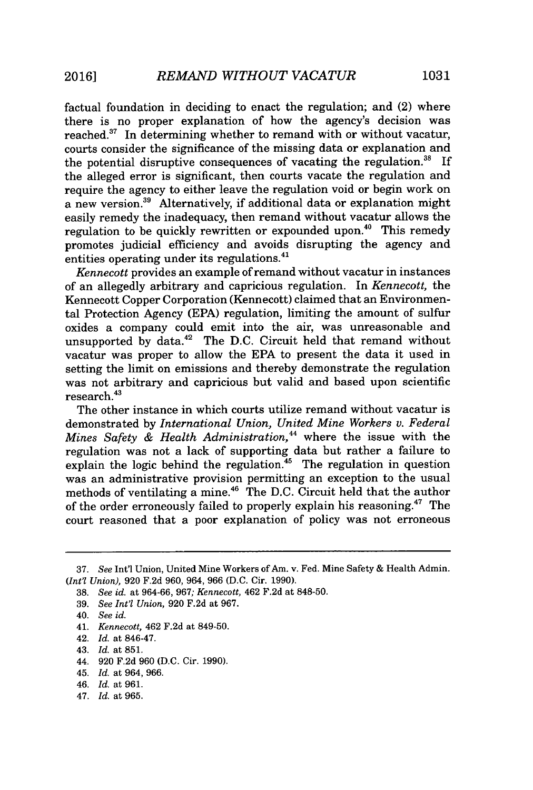factual foundation in deciding to enact the regulation; and (2) where there is no proper explanation of how the agency's decision was reached. $37$  In determining whether to remand with or without vacatur, courts consider the significance of the missing data or explanation and the potential disruptive consequences of vacating the regulation. $38$  If the alleged error is significant, then courts vacate the regulation and require the agency to either leave the regulation void or begin work on a new version. $39$  Alternatively, if additional data or explanation might easily remedy the inadequacy, then remand without vacatur allows the regulation to be quickly rewritten or expounded upon.<sup>40</sup> This remedy promotes judicial efficiency and avoids disrupting the agency and entities operating under its regulations.<sup>41</sup>

*Kennecott* provides an example of remand without vacatur in instances of an allegedly arbitrary and capricious regulation. In *Kennecott,* the Kennecott Copper Corporation (Kennecott) claimed that an Environmental Protection Agency **(EPA)** regulation, limiting the amount of sulfur oxides a company could emit into the air, was unreasonable and unsupported by data.<sup>42</sup> The D.C. Circuit held that remand without vacatur was proper to allow the **EPA** to present the data it used in setting the limit on emissions and thereby demonstrate the regulation was not arbitrary and capricious but valid and based upon scientific  $r$ esearch. $43$ 

The other instance in which courts utilize remand without vacatur is demonstrated **by** *International Union, United Mine Workers v. Federal Mines Safety & Health Administration,"* where the issue with the regulation was not a lack of supporting data but rather a failure to explain the logic behind the regulation.<sup>45</sup> The regulation in question was an administrative provision permitting an exception to the usual methods of ventilating a mine.<sup>46</sup> The D.C. Circuit held that the author of the order erroneously failed to properly explain his reasoning.<sup>4</sup>7 The court reasoned that a poor explanation of policy was not erroneous

- **39.** *See Int'l Union,* **920 F.2d** at **967.**
- 40. *See id.*
- 41. *Kennecott,* 462 **F.2d** at **849-50.**
- 42. *Id.* at 846-47.
- 43. *Id.* at **851.**
- *44.* **920 F.2d 960 (D.C.** Cir. **1990).**
- 45. *Id.* at 964, **966.**
- *46. Id.* at **961.**
- *47. Id.* at **965.**

**<sup>37.</sup>** *See* Int'l Union, United Mine Workers of Am. v. Fed. Mine Safety **&** Health Admin. *(Int'l Union),* **920 F.2d 960,** 964, **966 (D.C.** Cir. **1990).**

**<sup>38.</sup>** *See id. at 964-66, 967; Kennecott,* 462 **F.2d** at **848-50.**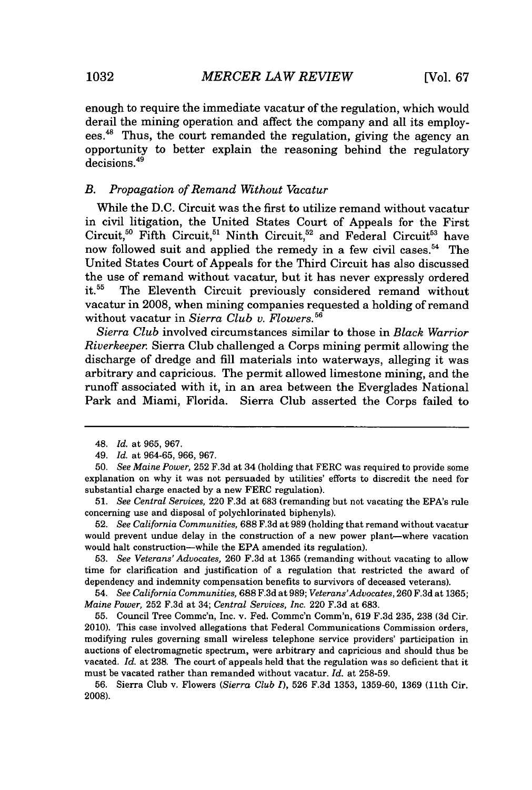enough to require the immediate vacatur of the regulation, which would derail the mining operation and affect the company and all its employees.48 Thus, the court remanded the regulation, giving the agency an opportunity to better explain the reasoning behind the regulatory decisions.<sup>49</sup>

### *B. Propagation of Remand Without Vacatur*

While the **D.C.** Circuit was the first to utilize remand without vacatur in civil litigation, the United States Court of Appeals for the First Circuit,<sup>50</sup> Fifth Circuit,<sup>51</sup> Ninth Circuit,<sup>52</sup> and Federal Circuit<sup>53</sup> have now followed suit and applied the remedy in a few civil cases.<sup>54</sup> The United States Court of Appeals for the Third Circuit has also discussed the use of remand without vacatur, but it has never expressly ordered<br>it.<sup>55</sup> The Eleventh Circuit previously considered remand without The Eleventh Circuit previously considered remand without vacatur in **2008,** when mining companies requested a holding of remand without vacatur in *Sierra Club v. Flowers.*<sup>56</sup>

*Sierra Club* involved circumstances similar to those in *Black Warrior Riverkeeper.* Sierra Club challenged a Corps mining permit allowing the discharge of dredge and **fill** materials into waterways, alleging it was arbitrary and capricious. The permit allowed limestone mining, and the runoff associated with it, in an area between the Everglades National Park and Miami, Florida. Sierra Club asserted the Corps failed to

<sup>48.</sup> *Id. at* **965, 967.**

<sup>49.</sup> *Id. at* **964-65, 966, 967.**

*<sup>50.</sup> See Maine Power,* **252 F.3d** at 34 (holding that FERC was required to provide some explanation on why it was not persuaded **by** utilities' efforts to discredit the need for substantial charge enacted **by** a new FERC regulation).

*<sup>51.</sup> See Central Services,* 220 **F.3d** at **683** (remanding but not vacating the EPA's rule concerning use and disposal of polychlorinated biphenyls).

**<sup>52.</sup>** *See California Communities,* **688 F.3d** at **989** (holding that remand without vacatur would prevent undue delay in the construction of a new power plant-where vacation would halt construction-while the **EPA** amended its regulation).

*<sup>53.</sup> See Veterans' Advocates,* **260 F.3d** at **1365** (remanding without vacating to allow time for clarification and justification of a regulation that restricted the award of dependency and indemnity compensation benefits to survivors of deceased veterans).

<sup>54.</sup> *See California Communities,* **688** F.3d at 989; *Veterans'Advocates, 260* F.3d at **1365;** *Maine Power,* **252 F.3d** at 34; *Central Services, Inc.* 220 **F.3d** at **683.**

**<sup>55.</sup>** Council Tree Commc'n, Inc. v. Fed. Comme'n Comm'n, **619 F.3d 235, 238 (3d** Cir. 2010). This case involved allegations that Federal Communications Commission orders, modifying rules governing small wireless telephone service providers' participation in auctions of electromagnetic spectrum, were arbitrary and capricious and should thus be vacated. *Id.* at **238.** The court of appeals held that the regulation was so deficient that it must be vacated rather than remanded without vacatur. *Id.* at **258-59.**

**<sup>56.</sup>** Sierra Club v. Flowers *(Sierra Club I),* **526 F.3d 1353, 1359-60, 1369** (11th Cir. **2008).**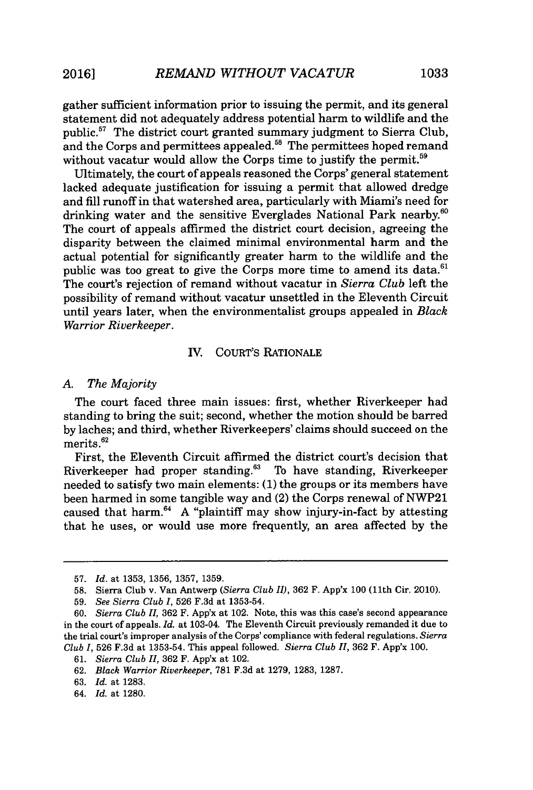gather sufficient information prior to issuing the permit, and its general statement did not adequately address potential harm to wildlife and the public. $57$  The district court granted summary judgment to Sierra Club, and the Corps and permittees appealed.<sup>58</sup> The permittees hoped remand without vacatur would allow the Corps time to justify the permit.<sup>59</sup>

Ultimately, the court of appeals reasoned the Corps' general statement lacked adequate justification for issuing a permit that allowed dredge and **fill** runoff in that watershed area, particularly with Miami's need for drinking water and the sensitive Everglades National Park nearby.<sup>60</sup> The court of appeals affirmed the district court decision, agreeing the disparity between the claimed minimal environmental harm and the actual potential for significantly greater harm to the wildlife and the public was too great to give the Corps more time to amend its data. $61$ The court's rejection of remand without vacatur in *Sierra Club* left the possibility of remand without vacatur unsettled in the Eleventh Circuit until years later, when the environmentalist groups appealed in *Black Warrior Riverkeeper.*

# IV. COURT'S RATIONALE

#### *A. The Majority*

The court faced three main issues: first, whether Riverkeeper had standing to bring the suit; second, whether the motion should be barred **by** laches; and third, whether Riverkeepers' claims should succeed on the merits.<sup>62</sup>

First, the Eleventh Circuit affirmed the district court's decision that Riverkeeper had proper standing.<sup>63</sup> To have standing, Riverkeeper needed to satisfy two main elements: **(1)** the groups or its members have been harmed in some tangible way and (2) the Corps renewal of NWP21 caused that harm.<sup>64</sup> A "plaintiff may show injury-in-fact by attesting that he uses, or would use more frequently, an area affected **by** the

**<sup>57.</sup>** *Id.* at **1353, 1356, 1357, 1359.**

**<sup>58.</sup>** Sierra Club v. Van Antwerp *(Sierra Club II),* **362** F. App'x **100** (11th Cir. 2010).

*<sup>59.</sup> See Sierra Club I,* **526 F.3d** at **1353-54.**

*<sup>60.</sup> Sierra Club II,* **362** F. App'x at 102. Note, this was this case's second appearance in the court of appeals. *Id.* at 103-04. The Eleventh Circuit previously remanded it due to the trial court's improper analysis of the Corps' compliance with federal regulations. *Sierra Club I,* **526 F.3d** at **1353-54.** This appeal followed. *Sierra Club II,* **362** F. App'x **100.**

*<sup>61.</sup> Sierra Club II,* **362** F. App'x at 102.

**<sup>62.</sup>** Black *Warrior Riverkeeper,* **781 F.3d** at **1279, 1283, 1287.**

**<sup>63.</sup>** *Id.* at **1283.**

<sup>64.</sup> *Id.* at **1280.**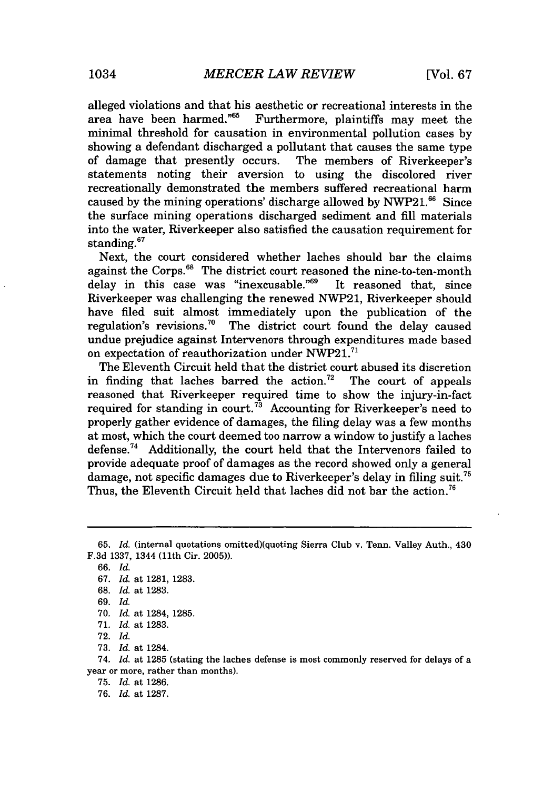alleged violations and that his aesthetic or recreational interests in the area have been harmed." $65$  Furthermore, plaintiffs may meet the minimal threshold for causation in environmental pollution cases **by** showing a defendant discharged a pollutant that causes the same type of damage that presently occurs. The members of Riverkeeper's of damage that presently occurs. statements noting their aversion to using the discolored river recreationally demonstrated the members suffered recreational harm caused by the mining operations' discharge allowed by NWP21.<sup>66</sup> Since the surface mining operations discharged sediment and **fill** materials into the water, Riverkeeper also satisfied the causation requirement for standing $67$ 

Next, the court considered whether laches should bar the claims against the Corps.<sup>68</sup> The district court reasoned the nine-to-ten-month delay in this case was "inexcusable."<sup>69</sup> It reasoned that, since delay in this case was "inexcusable." $69$ Riverkeeper was challenging the renewed NWP21, Riverkeeper should have filed suit almost immediately upon the publication of the regulation's revisions.<sup>70</sup> The district court found the delay caused undue prejudice against Intervenors through expenditures made based on expectation of reauthorization under **NWP21.<sup>7</sup> 1**

The Eleventh Circuit held that the district court abused its discretion in finding that laches barred the action.<sup>72</sup> The court of appeals reasoned that Riverkeeper required time to show the injury-in-fact required for standing in court.<sup>73</sup> Accounting for Riverkeeper's need to properly gather evidence of damages, the filing delay was a few months at most, which the court deemed too narrow a window to justify a laches defense. $74$  Additionally, the court held that the Intervenors failed to provide adequate proof of damages as the record showed only a general damage, not specific damages due to Riverkeeper's delay in filing suit.<sup>75</sup> Thus, the Eleventh Circuit held that laches did not bar the action.<sup>76</sup>

**<sup>65.</sup>** *Id.* (internal quotations omitted)(quoting Sierra Club v. Tenn. Valley Auth., 430 **F.3d 1337,** 1344 (11th Cir. **2005)).**

**<sup>66.</sup>** *Id.*

*<sup>67.</sup> Id.* at **1281, 1283.**

**<sup>68.</sup>** *Id.* at **1283.**

*<sup>69.</sup> Id.*

**<sup>70.</sup>** *Id.* at 1284, **1285.**

**<sup>71.</sup>** *Id.* at **1283.**

**<sup>72.</sup>** *Id.*

**<sup>73.</sup>** *Id.* at 1284.

<sup>74.</sup> *Id.* at **1285** (stating the laches defense is most commonly reserved for delays of a year or more, rather than months).

**<sup>75.</sup>** *Id.* at **1286.**

**<sup>76.</sup>** *Id.* at **1287.**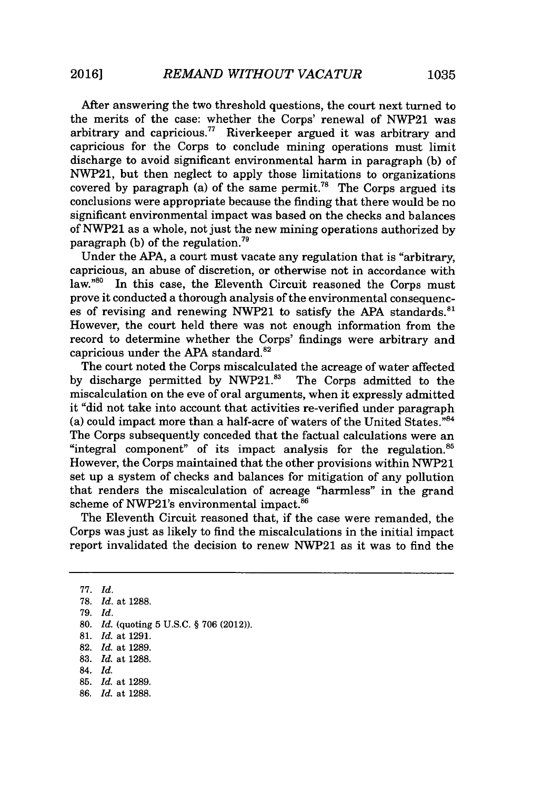After answering the two threshold questions, the court next turned to the merits of the case: whether the Corps' renewal of NWP21 was arbitrary and capricious." Riverkeeper argued it was arbitrary and capricious for the Corps to conclude mining operations must limit discharge to avoid significant environmental harm in paragraph **(b)** of NWP21, but then neglect to apply those limitations to organizations covered by paragraph (a) of the same permit.<sup>78</sup> The Corps argued its conclusions were appropriate because the finding that there would be no significant environmental impact was based on the checks and balances of NWP21 as a whole, not just the new mining operations authorized **by** paragraph **(b)** of the regulation."

Under the **APA,** a court must vacate any regulation that is "arbitrary, capricious, an abuse of discretion, or otherwise not in accordance with law. $^{80}$  In this case, the Eleventh Circuit reasoned the Corps must prove it conducted a thorough analysis of the environmental consequences of revising and renewing NWP21 to satisfy the **APA** standards."' However, the court held there was not enough information from the record to determine whether the Corps' findings were arbitrary and capricious under the APA standard.<sup>82</sup>

The court noted the Corps miscalculated the acreage of water affected **by** discharge permitted **by** NWP21." The Corps admitted to the miscalculation on the eve of oral arguments, when it expressly admitted it "did not take into account that activities re-verified under paragraph (a) could impact more than a half-acre of waters of the United States." $84$ The Corps subsequently conceded that the factual calculations were an "integral component" of its impact analysis for the regulation. $85$ However, the Corps maintained that the other provisions within NWP21 set up a system of checks and balances for mitigation of any pollution that renders the miscalculation of acreage "harmless" in the grand scheme of NWP21's environmental impact.<sup>86</sup>

The Eleventh Circuit reasoned that, if the case were remanded, the Corps was just as likely to find the miscalculations in the initial impact report invalidated the decision to renew NWP21 as it was to find the

*77. Id.* **78.** *Id.* at **1288.** *79. Id.* **80.** *Id.* (quoting **5 U.S.C. § 706** (2012)). **81.** *Id.* at **1291. 82.** *Id.* at **1289. 83.** *Id.* at **1288.** 84. *Id.* **85.** *Id.* at **1289. 86.** *Id.* at **1288.**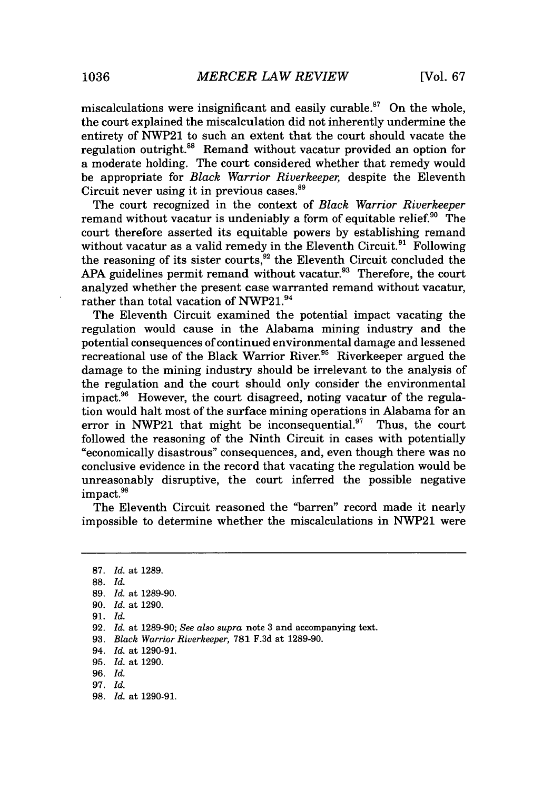miscalculations were insignificant and easily curable.<sup>87</sup> On the whole, the court explained the miscalculation did not inherently undermine the entirety of NWP21 to such an extent that the court should vacate the regulation outright.<sup>88</sup> Remand without vacatur provided an option for a moderate holding. The court considered whether that remedy would be appropriate for *Black Warrior Riverkeeper,* despite the Eleventh Circuit never using it in previous cases.<sup>89</sup>

The court recognized in the context of *Black Warrior Riverkeeper* remand without vacatur is undeniably a form of equitable relief. $90$  The court therefore asserted its equitable powers **by** establishing remand without vacatur as a valid remedy in the Eleventh Circuit.<sup>91</sup>  $\overline{\hbox{F}}$ ollowing the reasoning of its sister courts,  $^{92}$  the Eleventh Circuit concluded the APA guidelines permit remand without vacatur.<sup>93</sup> Therefore, the court analyzed whether the present case warranted remand without vacatur, rather than total vacation of NWP21.<sup>94</sup>

The Eleventh Circuit examined the potential impact vacating the regulation would cause in the Alabama mining industry and the potential consequences of continued environmental damage and lessened recreational use of the Black Warrior River.<sup>95</sup> Riverkeeper argued the damage to the mining industry should be irrelevant to the analysis of the regulation and the court should only consider the environmental impact.<sup>96</sup> However, the court disagreed, noting vacatur of the regulation would halt most of the surface mining operations in Alabama for an error in NWP21 that might be inconsequential.<sup>97</sup> Thus, the court followed the reasoning of the Ninth Circuit in cases with potentially "economically disastrous" consequences, and, even though there was no conclusive evidence in the record that vacating the regulation would be unreasonably disruptive, the court inferred the possible negative impact.<sup>98</sup>

The Eleventh Circuit reasoned the "barren" record made it nearly impossible to determine whether the miscalculations in NWP21 were

**<sup>87.</sup>** *Id. at* **1289.**

**<sup>88.</sup>** *Id.*

**<sup>89.</sup>** *Id.* at **1289-90.**

**<sup>90.</sup>** *Id. at* **1290.**

**<sup>91.</sup>** *Id.*

**<sup>92.</sup>** *Id. at* **1289-90;** *See also supra* note **3** and accompanying text.

**<sup>93.</sup>** *Black Warrior Riverkeeper,* **781 F.3d** at **1289-90.**

*<sup>94.</sup> Id.* at **1290-91.**

**<sup>95.</sup>** *Id.* at **1290.**

*<sup>96.</sup> Id.*

*<sup>97.</sup> Id.*

**<sup>98.</sup>** *Id.* at **1290-91.**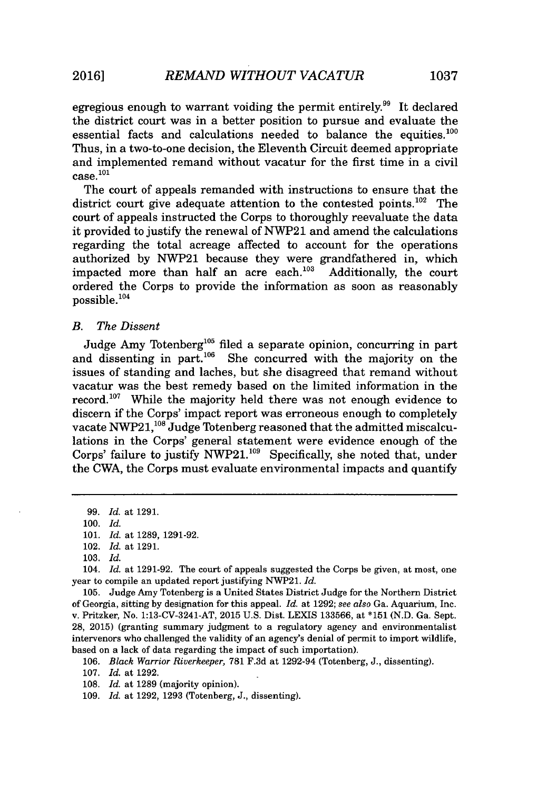egregious enough to warrant voiding the permit entirely.<sup>99</sup> It declared the district court was in a better position to pursue and evaluate the essential facts and calculations needed to balance the equities. $100$ Thus, in a two-to-one decision, the Eleventh Circuit deemed appropriate and implemented remand without vacatur for the first time in a civil  $case.<sup>101</sup>$ 

The court of appeals remanded with instructions to ensure that the district court give adequate attention to the contested points.<sup>102</sup> The court of appeals instructed the Corps to thoroughly reevaluate the data it provided to justify the renewal of NWP21 and amend the calculations regarding the total acreage affected to account for the operations authorized by NWP21 because they were grandfathered in, which impacted more than half an acre each.<sup>103</sup> Additionally, the court impacted more than half an acre each.<sup>103</sup> ordered the Corps to provide the information as soon as reasonably possible.<sup>104</sup>

# *B. The Dissent*

Judge Amy Totenberg<sup>105</sup> filed a separate opinion, concurring in part and dissenting in part. $106$  She concurred with the majority on the issues of standing and laches, but she disagreed that remand without vacatur was the best remedy based on the limited information in the record.<sup>107</sup> While the majority held there was not enough evidence to discern if the Corps' impact report was erroneous enough to completely vacate NWP21,<sup>108</sup> Judge Totenberg reasoned that the admitted miscalculations in the Corps' general statement were evidence enough of the Corps' failure to justify NWP21.<sup>109</sup> Specifically, she noted that, under the CWA, the Corps must evaluate environmental impacts and quantify

**99.** *Id.* at **1291. 100.** *Id.* **101.** *Id.* at **1289, 1291-92.** 102. *Id.* at **1291. 103.** *Id.*

104. *Id.* at **1291-92.** The court of appeals suggested the Corps be given, at most, one year to compile an updated report justifying NWP21. *Id.*

**105.** Judge Amy Totenberg is a United States District Judge for the Northern District of Georgia, sitting **by** designation for this appeal. *Id.* at **1292;** *see also* Ga. Aquarium, Inc. v. Pritzker, No. 1:13-CV-3241-AT, **2015 U.S.** Dist. LEXIS **133566,** at **\*151 (N.D.** Ga. Sept. **28, 2015)** (granting summary judgment to a regulatory agency and environmentalist intervenors who challenged the validity of an agency's denial of permit to import wildlife, based on a lack of data regarding the impact of such importation).

**106.** *Black Warrior Riverkeeper,* **781 F.3d** at 1292-94 (Totenberg, **J.,** dissenting).

**107.** *Id.* at **1292.**

*108. Id.* at **1289** (majority opinion).

**109.** *Id.* at **1292, 1293** (Totenberg, **J.,** dissenting).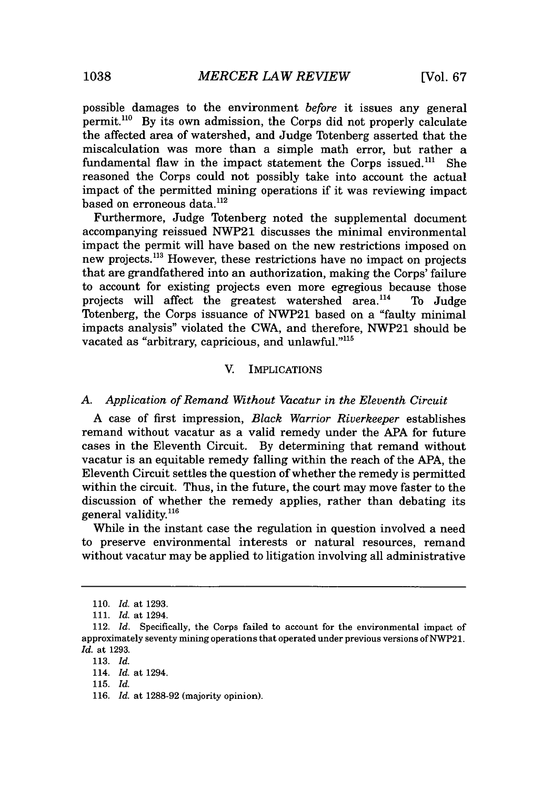possible damages to the environment *before* it issues any general permit.<sup>110</sup> By its own admission, the Corps did not properly calculate the affected area of watershed, and Judge Totenberg asserted that the miscalculation was more than a simple math error, but rather a fundamental flaw in the impact statement the Corps issued. $^{111}$  She reasoned the Corps could not possibly take into account the actual impact of the permitted mining operations if it was reviewing impact based on erroneous data.<sup>112</sup>

Furthermore, Judge Totenberg noted the supplemental document accompanying reissued NWP21 discusses the minimal environmental impact the permit will have based on the new restrictions imposed on new projects.<sup>113</sup> However, these restrictions have no impact on projects that are grandfathered into an authorization, making the Corps' failure to account for existing projects even more egregious because those projects will affect the greatest watershed area. $^{114}$  To Judge Totenberg, the Corps issuance of NWP21 based on a "faulty minimal impacts analysis" violated the CWA, and therefore, NWP21 should be vacated as "arbitrary, capricious, and unlawful."<sup>115</sup>

#### V. IMPLICATIONS

#### *A. Application of Remand Without Vacatur in the Eleventh Circuit*

**A** case of first impression, *Black Warrior Riverkeeper* establishes remand without vacatur as a valid remedy under the **APA** for future cases in the Eleventh Circuit. **By** determining that remand without vacatur is an equitable remedy falling within the reach of the **APA,** the Eleventh Circuit settles the question of whether the remedy is permitted within the circuit. Thus, in the future, the court may move faster to the discussion of whether the remedy applies, rather than debating its general validity.<sup>116</sup>

While in the instant case the regulation in question involved a need to preserve environmental interests or natural resources, remand without vacatur may be applied to litigation involving all administrative

*<sup>110.</sup> Id.* at **1293.**

*<sup>111.</sup> Id.* at 1294.

<sup>112.</sup> *Id.* Specifically, the Corps failed to account for the environmental impact of approximately seventy mining operations that operated under previous versions of NWP21. *Id.* at **1293.**

*<sup>113.</sup> Id.*

<sup>114.</sup> *Id.* at 1294.

**<sup>115.</sup>** *Id.*

**<sup>116.</sup>** *Id.* at **1288-92** (majority opinion).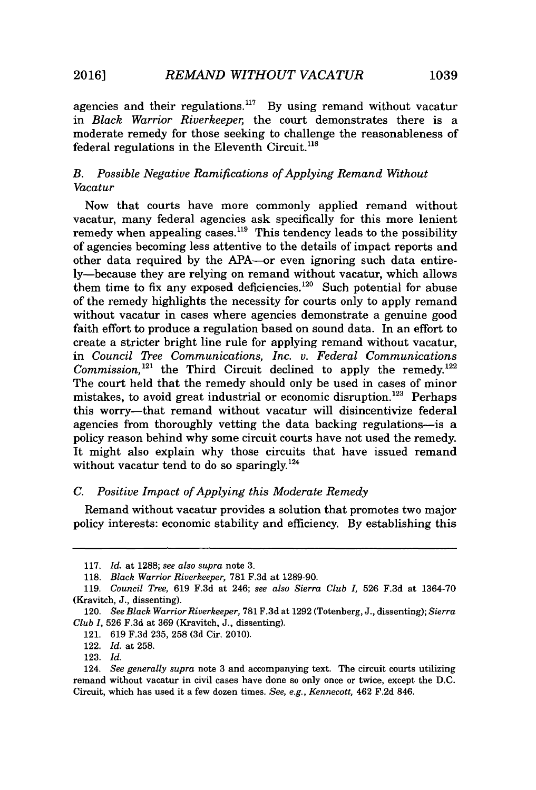**2016] REMAND WITHOUT VACATUR** 1039

agencies and their regulations.<sup>117</sup> By using remand without vacatur in *Black Warrior Riverkeeper,* the court demonstrates there is a moderate remedy for those seeking to challenge the reasonableness of federal regulations in the Eleventh Circuit. $^{118}$ 

# *B. Possible Negative Ramifications of Applying Remand Without Vacatur*

Now that courts have more commonly applied remand without vacatur, many federal agencies ask specifically for this more lenient remedy when appealing cases.<sup>119</sup> This tendency leads to the possibility of agencies becoming less attentive to the details of impact reports and other data required **by** the APA-or even ignoring such data entirely-because they are relying on remand without vacatur, which allows them time to fix any exposed deficiencies. $120$  Such potential for abuse of the remedy highlights the necessity for courts only to apply remand without vacatur in cases where agencies demonstrate a genuine good faith effort to produce a regulation based on sound data. In an effort to create a stricter bright line rule for applying remand without vacatur, in *Council Tree Communications, Inc. v. Federal Communications Commission*,<sup>121</sup> the Third Circuit declined to apply the remedy.<sup>122</sup> The court held that the remedy should only be used in cases of minor mistakes, to avoid great industrial or economic disruption.<sup>123</sup> Perhaps this worry-that remand without vacatur will disincentivize federal agencies from thoroughly vetting the data backing regulations-is a policy reason behind why some circuit courts have not used the remedy. It might also explain why those circuits that have issued remand without vacatur tend to do so sparingly.<sup>124</sup>

#### *C. Positive Impact of Applying this Moderate Remedy*

Remand without vacatur provides a solution that promotes two major policy interests: economic stability and efficiency. **By** establishing this

**<sup>117.</sup>** *Id.* at **1288;** *see also supra* note **3.**

**<sup>118.</sup>** *Black Warrior Riverkeeper,* **781 F.3d** at **1289-90.**

**<sup>119.</sup>** *Council Tree,* **619 F.3d** at 246; *see also Sierra Club I,* **526 F.3d** at **1364-70** (Kravitch, **J.,** dissenting).

<sup>120.</sup> *See Black Warrior Riverkeeper,* **781 F.3d** at **1292** (Totenberg, **J.,** dissenting); *Sierra Club 1,* **526 F.3d** at **369** (Kravitch, **J.,** dissenting).

<sup>121.</sup> **619 F.3d 235, 258 (3d** Cir. 2010).

<sup>122.</sup> *Id.* at **258.**

**<sup>123.</sup>** *Id.*

<sup>124.</sup> *See generally supra* note **3** and accompanying text. The circuit courts utilizing remand without vacatur in civil cases have done so only once or twice, except the **D.C.** Circuit, which has used it a few dozen times. *See, e.g., Kennecott,* 462 **F.2d** 846.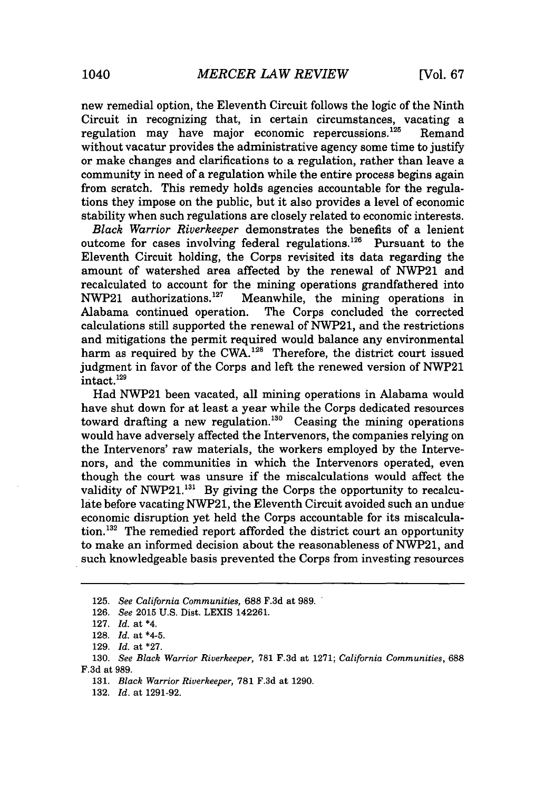new remedial option, the Eleventh Circuit follows the logic of the Ninth Circuit in recognizing that, in certain circumstances, vacating a regulation may have major economic repercussions.<sup>125</sup> ' Remand without vacatur provides the administrative agency some time to justify or make changes and clarifications to a regulation, rather than leave a community in need of a regulation while the entire process begins again from scratch. This remedy holds agencies accountable for the regulations they impose on the public, but it also provides a level of economic stability when such regulations are closely related to economic interests.

*Black Warrior Riverkeeper* demonstrates the benefits of a lenient outcome for cases involving federal regulations.<sup>126</sup> Pursuant to the Eleventh Circuit holding, the Corps revisited its data regarding the amount of watershed area affected **by** the renewal of NWP21 and recalculated to account for the mining operations grandfathered into NWP21 authorizations.<sup>127</sup> Meanwhile, the mining operations in **NWP21** authorizations.<sup>127</sup> Meanwhile, the mining operations in Alabama continued operation. The Corps concluded the corrected The Corps concluded the corrected calculations still supported the renewal of NWP21, and the restrictions and mitigations the permit required would balance any environmental harm as required by the CWA.<sup>128</sup> Therefore, the district court issued judgment in favor of the Corps and left the renewed version of NWP21 intact.<sup>129</sup>

Had NWP21 been vacated, all mining operations in Alabama would have shut down for at least a year while the Corps dedicated resources toward drafting a new regulation.<sup>130</sup> Ceasing the mining operations would have adversely affected the Intervenors, the companies relying on the Intervenors' raw materials, the workers employed **by** the Intervenors, and the communities in which the Intervenors operated, even though the court was unsure if the miscalculations would affect the validity of  $NWP21$ <sup>131</sup> By giving the Corps the opportunity to recalculate before vacating **NWP21,** the Eleventh Circuit avoided such an undue economic disruption yet held the Corps accountable for its miscalculation.<sup>132</sup> The remedied report afforded the district court an opportunity to make an informed decision about the reasonableness of **NWP21,** and such knowledgeable basis prevented the Corps from investing resources

**<sup>125.</sup>** *See California Communities,* **688 F.3d** *at* **989.**

**<sup>126.</sup>** *See* **2015 U.S.** Dist. LEXIS 142261.

**<sup>127.</sup>** *Id. at \*4.*

**<sup>128.</sup>** *Id. at* \*4-5.

**<sup>129.</sup>** *Id. at* **\*27.**

**<sup>130.</sup>** *See Black Warrior Riverkeeper,* **781 F.3d** at **1271;** *California Communities,* **688 F.3d** at **989.**

*<sup>131.</sup> Black Warrior Riverkeeper,* **781 F.3d** at **1290.**

**<sup>132.</sup>** *Id. at* **1291-92.**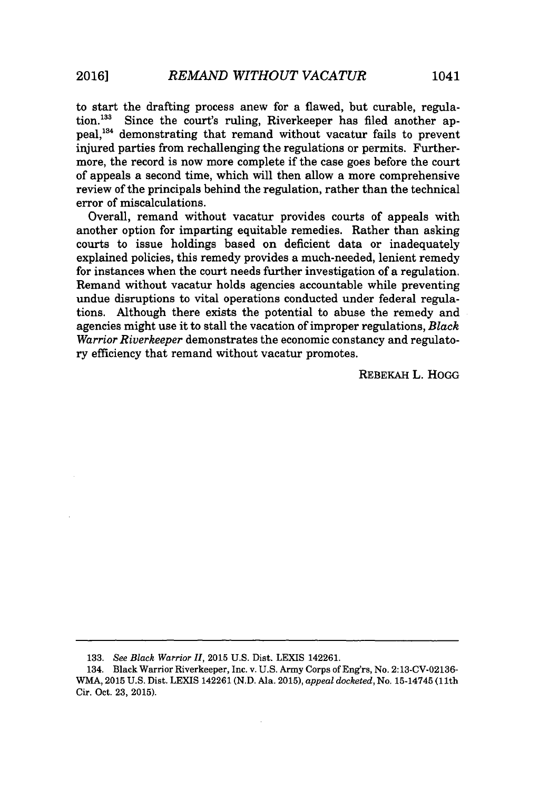to start the drafting process anew for a flawed, but curable, regulation. $133$  Since the court's ruling, Riverkeeper has filed another appeal,<sup>134</sup> demonstrating that remand without vacatur fails to prevent injured parties from rechallenging the regulations or permits. Furthermore, the record is now more complete if the case goes before the court of appeals a second time, which will then allow a more comprehensive review of the principals behind the regulation, rather than the technical error of miscalculations.

Overall, remand without vacatur provides courts of appeals with another option for imparting equitable remedies. Rather than asking courts to issue holdings based on deficient data or inadequately explained policies, this remedy provides a much-needed, lenient remedy for instances when the court needs further investigation of a regulation. Remand without vacatur holds agencies accountable while preventing undue disruptions to vital operations conducted under federal regulations. Although there exists the potential to abuse the remedy and agencies might use it to stall the vacation of improper regulations, *Black Warrior Riverkeeper* demonstrates the economic constancy and regulatory efficiency that remand without vacatur promotes.

REBEKAH L. HOGG

**<sup>133.</sup>** See Black *Warrior II,* **2015 U.S.** Dist. LEXIS 142261.

<sup>134.</sup> Black Warrior Riverkeeper, Inc. v. **U.S.** Army Corps of Eng'rs, No. **2:13-CV-02136-** WMA, **2015 U.S.** Dist. LEXIS 142261 **(N.D.** Ala. **2015),** *appeal docketed,* No. 15-14745 (11th Cir. Oct. **23, 2015).**